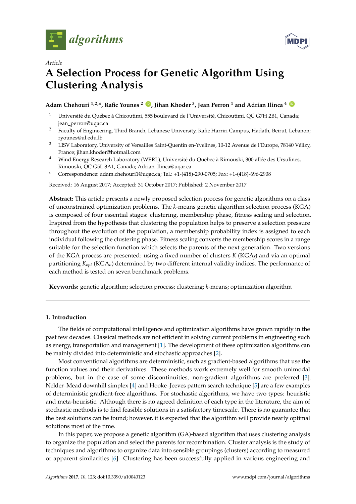



# *Article* **A Selection Process for Genetic Algorithm Using Clustering Analysis**

# **Adam Chehouri 1,2,\*, Rafic Younes <sup>2</sup> [ID](https://orcid.org/0000-0002-7957-2057) , Jihan Khoder <sup>3</sup> , Jean Perron <sup>1</sup> and Adrian Ilinca <sup>4</sup> [ID](https://orcid.org/0000-0002-8236-2317)**

- <sup>1</sup> Université du Québec à Chicoutimi, 555 boulevard de l'Université, Chicoutimi, QC G7H 2B1, Canada; jean\_perron@uqac.ca
- <sup>2</sup> Faculty of Engineering, Third Branch, Lebanese University, Rafic Harriri Campus, Hadath, Beirut, Lebanon; ryounes@ul.edu.lb
- <sup>3</sup> LISV Laboratory, University of Versailles Saint-Quentin en-Yvelines, 10-12 Avenue de l'Europe, 78140 Vélizy, France; jihan.khoder@hotmail.com
- <sup>4</sup> Wind Energy Research Laboratory (WERL), Université du Québec à Rimouski, 300 allée des Ursulines, Rimouski, QC G5L 3A1, Canada; Adrian\_Ilinca@uqar.ca
- **\*** Correspondence: adam.chehouri1@uqac.ca; Tel.: +1-(418)-290-0705; Fax: +1-(418)-696-2908

Received: 16 August 2017; Accepted: 31 October 2017; Published: 2 November 2017

**Abstract:** This article presents a newly proposed selection process for genetic algorithms on a class of unconstrained optimization problems. The *k*-means genetic algorithm selection process (KGA) is composed of four essential stages: clustering, membership phase, fitness scaling and selection. Inspired from the hypothesis that clustering the population helps to preserve a selection pressure throughout the evolution of the population, a membership probability index is assigned to each individual following the clustering phase. Fitness scaling converts the membership scores in a range suitable for the selection function which selects the parents of the next generation. Two versions of the KGA process are presented: using a fixed number of clusters *K* (KGA*<sup>f</sup>* ) and via an optimal partitioning *Kopt* (KGA*o*) determined by two different internal validity indices. The performance of each method is tested on seven benchmark problems.

**Keywords:** genetic algorithm; selection process; clustering; *k*-means; optimization algorithm

# **1. Introduction**

The fields of computational intelligence and optimization algorithms have grown rapidly in the past few decades. Classical methods are not efficient in solving current problems in engineering such as energy, transportation and management [\[1\]](#page-12-0). The development of these optimization algorithms can be mainly divided into deterministic and stochastic approaches [\[2\]](#page-12-1).

Most conventional algorithms are deterministic, such as gradient-based algorithms that use the function values and their derivatives. These methods work extremely well for smooth unimodal problems, but in the case of some discontinuities, non-gradient algorithms are preferred [\[3\]](#page-12-2). Nelder–Mead downhill simplex [\[4\]](#page-12-3) and Hooke–Jeeves pattern search technique [\[5\]](#page-12-4) are a few examples of deterministic gradient-free algorithms. For stochastic algorithms, we have two types: heuristic and meta-heuristic. Although there is no agreed definition of each type in the literature, the aim of stochastic methods is to find feasible solutions in a satisfactory timescale. There is no guarantee that the best solutions can be found; however, it is expected that the algorithm will provide nearly optimal solutions most of the time.

In this paper, we propose a genetic algorithm (GA)-based algorithm that uses clustering analysis to organize the population and select the parents for recombination. Cluster analysis is the study of techniques and algorithms to organize data into sensible groupings (clusters) according to measured or apparent similarities [\[6\]](#page-12-5). Clustering has been successfully applied in various engineering and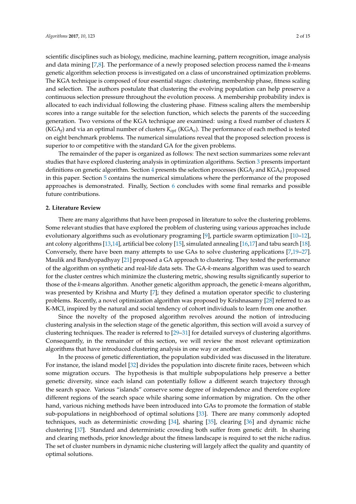scientific disciplines such as biology, medicine, machine learning, pattern recognition, image analysis and data mining [\[7,](#page-12-6)[8\]](#page-12-7). The performance of a newly proposed selection process named the *k*-means genetic algorithm selection process is investigated on a class of unconstrained optimization problems. The KGA technique is composed of four essential stages: clustering, membership phase, fitness scaling and selection. The authors postulate that clustering the evolving population can help preserve a continuous selection pressure throughout the evolution process. A membership probability index is allocated to each individual following the clustering phase. Fitness scaling alters the membership scores into a range suitable for the selection function, which selects the parents of the succeeding generation. Two versions of the KGA technique are examined: using a fixed number of clusters *K* (KGA*<sup>f</sup>* ) and via an optimal number of clusters *Kopt* (KGA*o*). The performance of each method is tested on eight benchmark problems. The numerical simulations reveal that the proposed selection process is superior to or competitive with the standard GA for the given problems.

The remainder of the paper is organized as follows: The next section summarizes some relevant studies that have explored clustering analysis in optimization algorithms. Section [3](#page-2-0) presents important definitions on genetic algorithm. Section [4](#page-4-0) presents the selection processes (KGA*<sup>f</sup>* and KGA*o*) proposed in this paper. Section [5](#page-8-0) contains the numerical simulations where the performance of the proposed approaches is demonstrated. Finally, Section [6](#page-11-0) concludes with some final remarks and possible future contributions.

### **2. Literature Review**

There are many algorithms that have been proposed in literature to solve the clustering problems. Some relevant studies that have explored the problem of clustering using various approaches include evolutionary algorithms such as evolutionary programing [\[9\]](#page-12-8), particle swarm optimization [\[10](#page-12-9)[–12\]](#page-12-10), ant colony algorithms [\[13,](#page-12-11)[14\]](#page-12-12), artificial bee colony [\[15\]](#page-12-13), simulated annealing [\[16,](#page-12-14)[17\]](#page-12-15) and tabu search [\[18\]](#page-12-16). Conversely, there have been many attempts to use GAs to solve clustering applications [\[7,](#page-12-6)[19–](#page-12-17)[27\]](#page-13-0). Maulik and Bandyopadhyay [\[21\]](#page-12-18) proposed a GA approach to clustering. They tested the performance of the algorithm on synthetic and real-life data sets. The GA-*k*-means algorithm was used to search for the cluster centres which minimize the clustering metric, showing results significantly superior to those of the *k*-means algorithm. Another genetic algorithm approach, the genetic *k*-means algorithm, was presented by Krishna and Murty [\[7\]](#page-12-6); they defined a mutation operator specific to clustering problems. Recently, a novel optimization algorithm was proposed by Krishnasamy [\[28\]](#page-13-1) referred to as K-MCI, inspired by the natural and social tendency of cohort individuals to learn from one another.

Since the novelty of the proposed algorithm revolves around the notion of introducing clustering analysis in the selection stage of the genetic algorithm, this section will avoid a survey of clustering techniques. The reader is referred to [\[29–](#page-13-2)[31\]](#page-13-3) for detailed surveys of clustering algorithms. Consequently, in the remainder of this section, we will review the most relevant optimization algorithms that have introduced clustering analysis in one way or another.

In the process of genetic differentiation, the population subdivided was discussed in the literature. For instance, the island model [\[32\]](#page-13-4) divides the population into discrete finite races, between which some migration occurs. The hypothesis is that multiple subpopulations help preserve a better genetic diversity, since each island can potentially follow a different search trajectory through the search space. Various "islands" conserve some degree of independence and therefore explore different regions of the search space while sharing some information by migration. On the other hand, various niching methods have been introduced into GAs to promote the formation of stable sub-populations in neighborhood of optimal solutions [\[33\]](#page-13-5). There are many commonly adopted techniques, such as deterministic crowding [\[34\]](#page-13-6), sharing [\[35\]](#page-13-7), clearing [\[36\]](#page-13-8) and dynamic niche clustering [\[37\]](#page-13-9). Standard and deterministic crowding both suffer from genetic drift. In sharing and clearing methods, prior knowledge about the fitness landscape is required to set the niche radius. The set of cluster numbers in dynamic niche clustering will largely affect the quality and quantity of optimal solutions.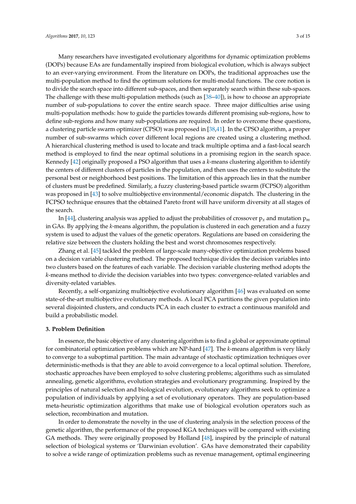Many researchers have investigated evolutionary algorithms for dynamic optimization problems (DOPs) because EAs are fundamentally inspired from biological evolution, which is always subject to an ever-varying environment. From the literature on DOPs, the traditional approaches use the multi-population method to find the optimum solutions for multi-modal functions. The core notion is to divide the search space into different sub-spaces, and then separately search within these sub-spaces. The challenge with these multi-population methods (such as [\[38–](#page-13-10)[40\]](#page-13-11)), is how to choose an appropriate number of sub-populations to cover the entire search space. Three major difficulties arise using multi-population methods: how to guide the particles towards different promising sub-regions, how to define sub-regions and how many sub-populations are required. In order to overcome these questions, a clustering particle swarm optimizer (CPSO) was proposed in [\[38,](#page-13-10)[41\]](#page-13-12). In the CPSO algorithm, a proper number of sub-swarms which cover different local regions are created using a clustering method. A hierarchical clustering method is used to locate and track multiple optima and a fast-local search method is employed to find the near optimal solutions in a promising region in the search space. Kennedy [\[42\]](#page-13-13) originally proposed a PSO algorithm that uses a *k*-means clustering algorithm to identify the centers of different clusters of particles in the population, and then uses the centers to substitute the personal best or neighborhood best positions. The limitation of this approach lies in that the number of clusters must be predefined. Similarly, a fuzzy clustering-based particle swarm (FCPSO) algorithm was proposed in [\[43\]](#page-13-14) to solve multiobjective environmental/economic dispatch. The clustering in the FCPSO technique ensures that the obtained Pareto front will have uniform diversity at all stages of the search.

In [\[44\]](#page-13-15), clustering analysis was applied to adjust the probabilities of crossover  $p_x$  and mutation  $p_m$ in GAs. By applying the *k*-means algorithm, the population is clustered in each generation and a fuzzy system is used to adjust the values of the genetic operators. Regulations are based on considering the relative size between the clusters holding the best and worst chromosomes respectively.

Zhang et al. [\[45\]](#page-13-16) tackled the problem of large-scale many-objective optimization problems based on a decision variable clustering method. The proposed technique divides the decision variables into two clusters based on the features of each variable. The decision variable clustering method adopts the *k*-means method to divide the decision variables into two types: convergence-related variables and diversity-related variables.

Recently, a self-organizing multiobjective evolutionary algorithm [\[46\]](#page-13-17) was evaluated on some state-of-the-art multiobjective evolutionary methods. A local PCA partitions the given population into several disjointed clusters, and conducts PCA in each cluster to extract a continuous manifold and build a probabilistic model.

#### <span id="page-2-0"></span>**3. Problem Definition**

In essence, the basic objective of any clustering algorithm is to find a global or approximate optimal for combinatorial optimization problems which are NP-hard [\[47\]](#page-13-18). The *k*-means algorithm is very likely to converge to a suboptimal partition. The main advantage of stochastic optimization techniques over deterministic-methods is that they are able to avoid convergence to a local optimal solution. Therefore, stochastic approaches have been employed to solve clustering problems; algorithms such as simulated annealing, genetic algorithms, evolution strategies and evolutionary programming. Inspired by the principles of natural selection and biological evolution, evolutionary algorithms seek to optimize a population of individuals by applying a set of evolutionary operators. They are population-based meta-heuristic optimization algorithms that make use of biological evolution operators such as selection, recombination and mutation.

In order to demonstrate the novelty in the use of clustering analysis in the selection process of the genetic algorithm, the performance of the proposed KGA techniques will be compared with existing GA methods. They were originally proposed by Holland [\[48\]](#page-13-19), inspired by the principle of natural selection of biological systems or 'Darwinian evolution'. GAs have demonstrated their capability to solve a wide range of optimization problems such as revenue management, optimal engineering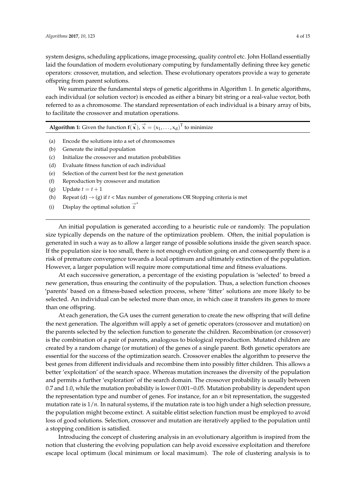system designs, scheduling applications, image processing, quality control etc. John Holland essentially laid the foundation of modern evolutionary computing by fundamentally defining three key genetic operators: crossover, mutation, and selection. These evolutionary operators provide a way to generate offspring from parent solutions.

We summarize the fundamental steps of genetic algorithms in Algorithm 1. In genetic algorithms, each individual (or solution vector) is encoded as either a binary bit string or a real-value vector, both referred to as a chromosome. The standard representation of each individual is a binary array of bits, to facilitate the crossover and mutation operations.

**Algorithm 1:** Given the function  $f(\vec{x})$ ,  $\vec{x} = (x_1, ..., x_d)^T$  to minimize

- (a) Encode the solutions into a set of chromosomes
- (b) Generate the initial population
- (c) Initialize the crossover and mutation probabilities
- (d) Evaluate fitness function of each individual
- (e) Selection of the current best for the next generation
- (f) Reproduction by crossover and mutation
- (g) Update  $t = t + 1$
- (h) Repeat (d)  $\rightarrow$  (g) if  $t$  < Max number of generations OR Stopping criteria is met
- (i) Display the optimal solution  $\vec{x}^*$

An initial population is generated according to a heuristic rule or randomly. The population size typically depends on the nature of the optimization problem. Often, the initial population is generated in such a way as to allow a larger range of possible solutions inside the given search space. If the population size is too small, there is not enough evolution going on and consequently there is a risk of premature convergence towards a local optimum and ultimately extinction of the population. However, a larger population will require more computational time and fitness evaluations.

At each successive generation, a percentage of the existing population is 'selected' to breed a new generation, thus ensuring the continuity of the population. Thus, a selection function chooses 'parents' based on a fitness-based selection process, where 'fitter' solutions are more likely to be selected. An individual can be selected more than once, in which case it transfers its genes to more than one offspring.

At each generation, the GA uses the current generation to create the new offspring that will define the next generation. The algorithm will apply a set of genetic operators (crossover and mutation) on the parents selected by the selection function to generate the children. Recombination (or crossover) is the combination of a pair of parents, analogous to biological reproduction. Mutated children are created by a random change (or mutation) of the genes of a single parent. Both genetic operators are essential for the success of the optimization search. Crossover enables the algorithm to preserve the best genes from different individuals and recombine them into possibly fitter children. This allows a better 'exploitation' of the search space. Whereas mutation increases the diversity of the population and permits a further 'exploration' of the search domain. The crossover probability is usually between 0.7 and 1.0, while the mutation probability is lower 0.001~0.05. Mutation probability is dependent upon the representation type and number of genes. For instance, for an *n* bit representation, the suggested mutation rate is 1/*n*. In natural systems, if the mutation rate is too high under a high selection pressure, the population might become extinct. A suitable elitist selection function must be employed to avoid loss of good solutions. Selection, crossover and mutation are iteratively applied to the population until a stopping condition is satisfied.

Introducing the concept of clustering analysis in an evolutionary algorithm is inspired from the notion that clustering the evolving population can help avoid excessive exploitation and therefore escape local optimum (local minimum or local maximum). The role of clustering analysis is to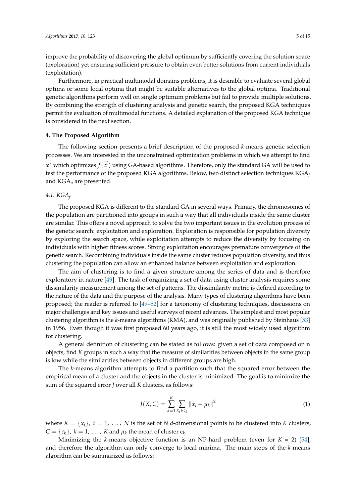improve the probability of discovering the global optimum by sufficiently covering the solution space (exploration) yet ensuring sufficient pressure to obtain even better solutions from current individuals (exploitation).

Furthermore, in practical multimodal domains problems, it is desirable to evaluate several global optima or some local optima that might be suitable alternatives to the global optima. Traditional genetic algorithms perform well on single optimum problems but fail to provide multiple solutions. By combining the strength of clustering analysis and genetic search, the proposed KGA techniques permit the evaluation of multimodal functions. A detailed explanation of the proposed KGA technique is considered in the next section.

### <span id="page-4-0"></span>**4. The Proposed Algorithm**

The following section presents a brief description of the proposed *k*-means genetic selection processes. We are interested in the unconstrained optimization problems in which we attempt to find →  $\stackrel{\rightarrow}{x}$ \* which optimizes  $f(\stackrel{\rightarrow}{x})$  using GA-based algorithms. Therefore, only the standard GA will be used to test the performance of the proposed KGA algorithms. Below, two distinct selection techniques KGA*<sup>f</sup>* and KGA*o* are presented.

## *4.1. KGA<sup>f</sup>*

The proposed KGA is different to the standard GA in several ways. Primary, the chromosomes of the population are partitioned into groups in such a way that all individuals inside the same cluster are similar. This offers a novel approach to solve the two important issues in the evolution process of the genetic search: exploitation and exploration. Exploration is responsible for population diversity by exploring the search space, while exploitation attempts to reduce the diversity by focusing on individuals with higher fitness scores. Strong exploitation encourages premature convergence of the genetic search. Recombining individuals inside the same cluster reduces population diversity, and thus clustering the population can allow an enhanced balance between exploitation and exploration.

The aim of clustering is to find a given structure among the series of data and is therefore exploratory in nature [\[49\]](#page-13-20). The task of organizing a set of data using cluster analysis requires some dissimilarity measurement among the set of patterns. The dissimilarity metric is defined according to the nature of the data and the purpose of the analysis. Many types of clustering algorithms have been proposed; the reader is referred to [\[49–](#page-13-20)[52\]](#page-14-0) for a taxonomy of clustering techniques, discussions on major challenges and key issues and useful surveys of recent advances. The simplest and most popular clustering algorithm is the *k*-means algorithms (KMA), and was originally published by Steinhaus [\[53\]](#page-14-1) in 1956. Even though it was first proposed 60 years ago, it is still the most widely used algorithm for clustering.

A general definition of clustering can be stated as follows: given a set of data composed on n objects, find *K* groups in such a way that the measure of similarities between objects in the same group is low while the similarities between objects in different groups are high.

The *k*-means algorithm attempts to find a partition such that the squared error between the empirical mean of a cluster and the objects in the cluster is minimized. The goal is to minimize the sum of the squared error *J* over all *K* clusters, as follows:

$$
J(X, C) = \sum_{k=1}^{K} \sum_{x_i \in c_k} ||x_i - \mu_k||^2
$$
\n(1)

where  $X = \{x_i\}$ ,  $i = 1, \ldots, N$  is the set of *N d*-dimensional points to be clustered into *K* clusters,  $C = \{c_k\}$ ,  $k = 1, \ldots$ ,  $K$  and  $\mu_k$  the mean of cluster  $c_k$ .

Minimizing the *k*-means objective function is an NP-hard problem (even for *K* = 2) [\[54\]](#page-14-2), and therefore the algorithm can only converge to local minima. The main steps of the *k*-means algorithm can be summarized as follows: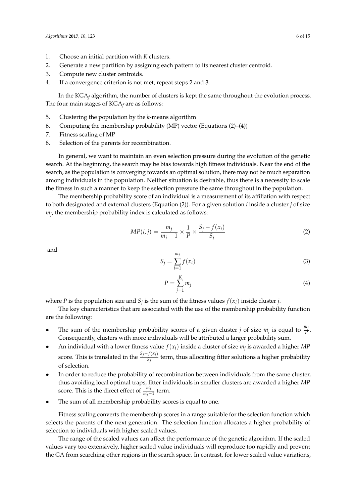- 1. Choose an initial partition with *K* clusters.
- 2. Generate a new partition by assigning each pattern to its nearest cluster centroid.
- 3. Compute new cluster centroids.
- 4. If a convergence criterion is not met, repeat steps 2 and 3.

In the KGA*<sup>f</sup>* algorithm, the number of clusters is kept the same throughout the evolution process. The four main stages of KGA*<sup>f</sup>* are as follows:

- 5. Clustering the population by the *k*-means algorithm
- 6. Computing the membership probability (MP) vector (Equations (2)–(4))
- 7. Fitness scaling of MP
- 8. Selection of the parents for recombination.

In general, we want to maintain an even selection pressure during the evolution of the genetic search. At the beginning, the search may be bias towards high fitness individuals. Near the end of the search, as the population is converging towards an optimal solution, there may not be much separation among individuals in the population. Neither situation is desirable, thus there is a necessity to scale the fitness in such a manner to keep the selection pressure the same throughout in the population.

The membership probability score of an individual is a measurement of its affiliation with respect to both designated and external clusters (Equation (2)). For a given solution *i* inside a cluster *j* of size *mj* , the membership probability index is calculated as follows:

$$
MP(i,j) = \frac{m_j}{m_j - 1} \times \frac{1}{P} \times \frac{S_j - f(x_i)}{S_j}
$$
 (2)

and

$$
S_j = \sum_{i=1}^{m_j} f(x_i) \tag{3}
$$

$$
P = \sum_{j=1}^{K} m_j \tag{4}
$$

where *P* is the population size and  $S_j$  is the sum of the fitness values  $f(x_i)$  inside cluster *j*.

The key characteristics that are associated with the use of the membership probability function are the following:

- The sum of the membership probability scores of a given cluster *j* of size  $m_j$  is equal to  $\frac{m_j}{P}$ . Consequently, clusters with more individuals will be attributed a larger probability sum.
- An individual with a lower fitness value  $f(x_i)$  inside a cluster of size  $m_j$  is awarded a higher  $MP$ score. This is translated in the  $\frac{S_j - f(x_i)}{S_i}$  $\frac{S_f(x_i)}{S_f}$  term, thus allocating fitter solutions a higher probability of selection.
- In order to reduce the probability of recombination between individuals from the same cluster, thus avoiding local optimal traps, fitter individuals in smaller clusters are awarded a higher *MP* score. This is the direct effect of  $\frac{m_j}{m_j-1}$  term.
- The sum of all membership probability scores is equal to one.

Fitness scaling converts the membership scores in a range suitable for the selection function which selects the parents of the next generation. The selection function allocates a higher probability of selection to individuals with higher scaled values.

The range of the scaled values can affect the performance of the genetic algorithm. If the scaled values vary too extensively, higher scaled value individuals will reproduce too rapidly and prevent the GA from searching other regions in the search space. In contrast, for lower scaled value variations,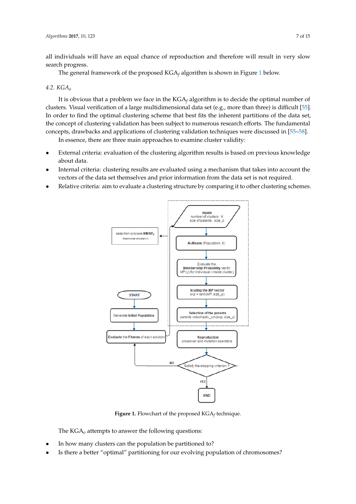all individuals will have an equal chance of reproduction and therefore will result in very slow search progress.

The general framework of the proposed KGA<sub>f</sub> algorithm is shown in Figure [1](#page-6-0) below.

# *4.2. KGA<sup>o</sup> 4.2. KGAo*

It is obvious that a problem we face in the KGA*<sup>f</sup>* algorithm is to decide the optimal number of It is obvious that a problem we face in the KGA*f* algorithm is to decide the optimal number of clusters. Visual verification of a large multidimensional data set (e.g., more than three) is difficult [\[55\]](#page-14-3). In order to find the optimal clustering scheme that best fits the inherent partitions of the data set, the concept of clustering validation has been subject to numerous research efforts. The fundamental concepts, drawbacks and applications of clustering validation techniques were discussed in [55-[58\]](#page-14-4). clusters. That a large multiplication of a large multiplication  $\kappa$  and  $\kappa$  algorithm is to decide the optimal number

In essence, there are three main approaches to examine cluster validity: In essence, there are three main approaches to examine cluster validity:

- External criteria: evaluation of the clustering algorithm results is based on previous knowledge External criteria: evaluation of the clustering algorithm results is based on previous knowledge about data. aar erittiin  $\mathcal{L}$ internal criteria: clustering results are evaluated using a mechanism that takes into account that takes into account the second using a mechanism that takes into account the second using  $\mathcal{L}$
- Internal criteria: clustering results are evaluated using a mechanism that takes into account the vectors of the data set themselves and prior information from the data set is not required.
- <span id="page-6-0"></span>• Relative criteria: aim to evaluate a clustering structure by comparing it to other clustering schemes.



**Figure 1.** Flowchart of the proposed KGA*f* technique. **Figure 1.** Flowchart of the proposed KGA*<sup>f</sup>* technique.

The  $\mathrm{KGA}_{o}$  attempts to answer the following questions:

- In how many clusters can the population be partitioned to?
- Is there a better "optimal" partitioning for our evolving population of chromosomes?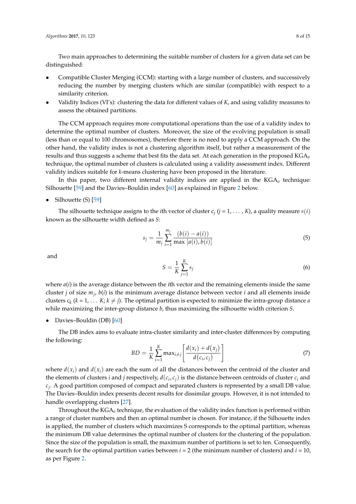Two main approaches to determining the suitable number of clusters for a given data set can be distinguished:

- Compatible Cluster Merging (CCM): starting with a large number of clusters, and successively reducing the number by merging clusters which are similar (compatible) with respect to a similarity criterion.
- Validity Indices (VI's): clustering the data for different values of *K*, and using validity measures to assess the obtained partitions.

The CCM approach requires more computational operations than the use of a validity index to determine the optimal number of clusters. Moreover, the size of the evolving population is small (less than or equal to 100 chromosomes), therefore there is no need to apply a CCM approach. On the other hand, the validity index is not a clustering algorithm itself, but rather a measurement of the results and thus suggests a scheme that best fits the data set. At each generation in the proposed KGA*o* technique, the optimal number of clusters is calculated using a validity assessment index. Different validity indices suitable for *k*-means clustering have been proposed in the literature.

In this paper, two different internal validity indices are applied in the KGA*o* technique: Silhouette [\[59\]](#page-14-5) and the Davies–Bouldin index [\[60\]](#page-14-6) as explained in Figure [2](#page-8-1) below.

Silhouette (S) [\[59\]](#page-14-5)

The silhouette technique assigns to the *i*th vector of cluster  $c_j$  ( $j = 1, ..., K$ ), a quality measure  $s(i)$ known as the silhouette width defined as *S*:

$$
s_j = \frac{1}{m_j} \sum_{i=1}^{m_j} \frac{(b(i) - a(i))}{\max [a(i), b(i)]}
$$
(5)

and

$$
S = \frac{1}{K} \sum_{j=1}^{K} s_j \tag{6}
$$

where *a*(*i*) is the average distance between the *i*th vector and the remaining elements inside the same cluster *j* of size *m<sup>j</sup>* , *b*(*i*) is the minimum average distance between vector *i* and all elements inside clusters  $c_k$  ( $k = 1, \ldots K$ ;  $k \neq j$ ). The optimal partition is expected to minimize the intra-group distance *a* while maximizing the inter-group distance *b*, thus maximizing the silhouette width criterion *S*.

#### • Davies–Bouldin (DB) [\[60\]](#page-14-6)

The DB index aims to evaluate intra-cluster similarity and inter-cluster differences by computing the following:

$$
BD = \frac{1}{K} \sum_{i=1}^{K} \max_{i \neq j} \left[ \frac{d(x_i) + d(x_j)}{d(c_i, c_j)} \right]
$$
(7)

where  $d(x_i)$  and  $d(x_i)$  are each the sum of all the distances between the centroid of the cluster and the elements of clusters *i* and *j* respectively,  $d(c_i, c_j)$  is the distance between centroids of cluster  $c_i$  and *cj* . A good partition composed of compact and separated clusters is represented by a small DB value. The Davies–Bouldin index presents decent results for dissimilar groups. However, it is not intended to handle overlapping clusters [\[27\]](#page-13-0).

Throughout the KGA*o* technique, the evaluation of the validity index function is performed within a range of cluster numbers and then an optimal number is chosen. For instance, if the Silhouette index is applied, the number of clusters which maximizes S corresponds to the optimal partition, whereas the minimum DB value determines the optimal number of clusters for the clustering of the population. Since the size of the population is small, the maximum number of partitions is set to ten. Consequently, the search for the optimal partition varies between  $i = 2$  (the minimum number of clusters) and  $i = 10$ , as per Figure [2.](#page-8-1)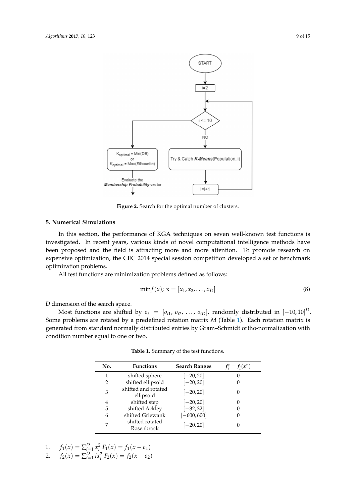<span id="page-8-1"></span>

**Figure 2.** Search for the optimal number of clusters. **Figure 2.** Search for the optimal number of clusters.

# <span id="page-8-0"></span>**5. Numerical Simulations 5. Numerical Simulations**

In this section, the performance of KGA techniques on seven well-known test functions is investigated. In recent years, various kinds of novel computational intelligence methods have been proposed and the field is attracting more and more attention. To promote research on ve optim expensive optimization, the CEC 2014 special session competition developed a set of benchmark<br>entimination publishes optimization problems.

All test functions are minimization problems defined as follows:

$$
\min f(x); \, x = [x_1, x_2, \dots, x_D]
$$
\n(8)

D dimension of the search space. *D* dimension of the search space.

Most functions are shifted by  $o_i = [o_{i1}, o_{i2}, \ldots, o_{iD}]$ , randomly distributed in  $[-10, 10]^D$ . Some problems are rotated by a predefined rotation matrix *M* (Table [1\)](#page-8-2). Each rotation matrix is  $\overrightarrow{C}$  condition number equal to one or two. generated from standard normally distributed entries by Gram–Schmidt ortho-normalization with<br>condition number equal to one or two  $1$ 

<span id="page-8-2"></span>

| No. | <b>Functions</b>                 | <b>Search Ranges</b> | $f_i^* = f_i(x^*)$ |
|-----|----------------------------------|----------------------|--------------------|
|     | shifted sphere                   | $[-20, 20]$          | 0                  |
|     | shifted ellipsoid                | $[-20, 20]$          | O                  |
| 3   | shifted and rotated<br>ellipsoid | $[-20, 20]$          | 0                  |
| 4   | shifted step                     | $[-20, 20]$          | 0                  |
| 5   | shifted Ackley                   | $[-32, 32]$          | 0                  |
| 6   | shifted Griewank                 | $[-600, 600]$        | 0                  |
| 7   | shifted rotated<br>Rosenbrock    | $[-20, 20]$          | $\theta$           |

Table 1. Summary of the test functions. 3 shifted and rotated ellipsoid ሾ−20,20ሿ 0

2. 
$$
f_2(x) = \sum_{i=1}^{D} ix_i^2 F_2(x) = f_2(x - \mathfrak{o}_2)
$$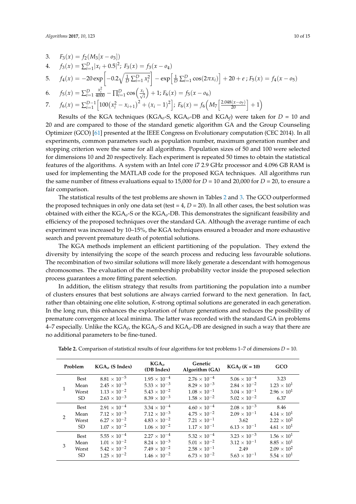3. 
$$
F_3(x) = f_2(M_3[x - o_3])
$$

4. 
$$
f_3(x) = \sum_{i=1}^{D} |x_i + 0.5|^2
$$
;  $F_3(x) = f_3(x - 0.4)$ 

5. 
$$
f_4(x) = -20 \exp \left[-0.2 \sqrt{\frac{1}{D} \sum_{i=1}^{D} x_i^2}\right] - \exp \left[\frac{1}{D} \sum_{i=1}^{D} \cos(2\pi x_i)\right] + 20 + e
$$
;  $F_5(x) = f_4(x - \omega_5)$ 

6. 
$$
f_5(x) = \sum_{i=1}^{D} \frac{x_i^2}{4000} - \prod_{i=1}^{D} \cos\left(\frac{x_i}{\sqrt{i}}\right) + 1; F_6(x) = f_5(x - \omega_6)
$$

7. 
$$
f_6(x) = \sum_{i=1}^{D-1} \left[ 100\left(x_i^2 - x_{i+1}\right)^2 + \left(x_i - 1\right)^2 \right]; F_6(x) = f_6\left(M_7\left[\frac{2.048(x - \sigma_7)}{20}\right] + 1\right)
$$

Results of the KGA techniques (KGA*o*-S, KGA*o*-DB and KGA*<sup>f</sup>* ) were taken for *D* = 10 and 20 and are compared to those of the standard genetic algorithm GA and the Group Counseling Optimizer (GCO) [\[61\]](#page-14-7) presented at the IEEE Congress on Evolutionary computation (CEC 2014). In all experiments, common parameters such as population number, maximum generation number and stopping criterion were the same for all algorithms. Population sizes of 50 and 100 were selected for dimensions 10 and 20 respectively. Each experiment is repeated 50 times to obtain the statistical features of the algorithms. A system with an Intel core i7 2.9 GHz processor and 4.096 GB RAM is used for implementing the MATLAB code for the proposed KGA techniques. All algorithms run the same number of fitness evaluations equal to 15,000 for  $D = 10$  and 20,000 for  $D = 20$ , to ensure a fair comparison.

The statistical results of the test problems are shown in Tables [2](#page-10-0) and [3.](#page-10-1) The GCO outperformed the proposed techniques in only one data set (test  $= 4$ ,  $D = 20$ ). In all other cases, the best solution was obtained with either the KGA*o*-S or the KGA*o*-DB. This demonstrates the significant feasibility and efficiency of the proposed techniques over the standard GA. Although the average runtime of each experiment was increased by 10–15%, the KGA techniques ensured a broader and more exhaustive search and prevent premature death of potential solutions.

The KGA methods implement an efficient partitioning of the population. They extend the diversity by intensifying the scope of the search process and reducing less favourable solutions. The recombination of two similar solutions will more likely generate a descendant with homogenous chromosomes. The evaluation of the membership probability vector inside the proposed selection process guarantees a more fitting parent selection.

In addition, the elitism strategy that results from partitioning the population into a number of clusters ensures that best solutions are always carried forward to the next generation. In fact, rather than obtaining one elite solution, *K*-strong optimal solutions are generated in each generation. In the long run, this enhances the exploration of future generations and reduces the possibility of premature convergence at local minima. The latter was recorded with the standard GA in problems 4–7 especially. Unlike the KGA*<sup>f</sup>* , the KGA*o*-S and KGA*o*-DB are designed in such a way that there are no additional parameters to be fine-tuned.

|   | Problem     | $KGAo$ (S Index)      | $KGA_0$<br>(DB Index) | Genetic<br>Algorithm (GA) | $KGA_f (K = 10)$      | GCO                  |
|---|-------------|-----------------------|-----------------------|---------------------------|-----------------------|----------------------|
| 1 | <b>Best</b> | $8.81 \times 10^{-5}$ | $1.95 \times 10^{-4}$ | $2.76 \times 10^{-4}$     | $5.06 \times 10^{-4}$ | 3.23                 |
|   | Mean        | $2.45 \times 10^{-3}$ | $5.33 \times 10^{-3}$ | $8.29 \times 10^{-3}$     | $2.84 \times 10^{-2}$ | $1.23 \times 10^{1}$ |
|   | Worst       | $1.13 \times 10^{-2}$ | $5.43 \times 10^{-2}$ | $1.08 \times 10^{-1}$     | $3.04 \times 10^{-1}$ | $2.96 \times 10^{1}$ |
|   | SD.         | $2.63 \times 10^{-3}$ | $8.39 \times 10^{-3}$ | $1.58 \times 10^{-2}$     | $5.02 \times 10^{-2}$ | 6.37                 |
| 2 | Best        | $2.91 \times 10^{-4}$ | $3.34 \times 10^{-4}$ | $4.60 \times 10^{-4}$     | $2.08 \times 10^{-3}$ | 8.46                 |
|   | Mean        | $7.12 \times 10^{-3}$ | $7.12 \times 10^{-3}$ | $4.75 \times 10^{-2}$     | $2.09 \times 10^{-1}$ | $4.14 \times 10^{1}$ |
|   | Worst       | $6.27 \times 10^{-2}$ | $4.83 \times 10^{-2}$ | $7.21 \times 10^{-1}$     | 3.62                  | $2.22 \times 10^{2}$ |
|   | SD.         | $1.07 \times 10^{-2}$ | $1.06 \times 10^{-2}$ | $1.17 \times 10^{-1}$     | $6.13 \times 10^{-1}$ | $4.61 \times 10^{1}$ |
| 3 | Best        | $5.55\times10^{-4}$   | $2.27 \times 10^{-4}$ | $5.32 \times 10^{-4}$     | $3.23 \times 10^{-3}$ | $1.56 \times 10^{1}$ |
|   | Mean        | $1.01 \times 10^{-2}$ | $8.24 \times 10^{-3}$ | $5.01 \times 10^{-2}$     | $3.12 \times 10^{-1}$ | $8.85 \times 10^1$   |
|   | Worst       | $5.42 \times 10^{-2}$ | $7.49 \times 10^{-2}$ | $2.58 \times 10^{-1}$     | 2.49                  | $2.09 \times 10^{2}$ |
|   | SD.         | $1.25 \times 10^{-2}$ | $1.46 \times 10^{-2}$ | $6.73 \times 10^{-2}$     | $5.63 \times 10^{-1}$ | $5.54 \times 10^{1}$ |

**Table 2.** Comparison of statistical results of four algorithms for test problems 1–7 of dimensions *D* = 10.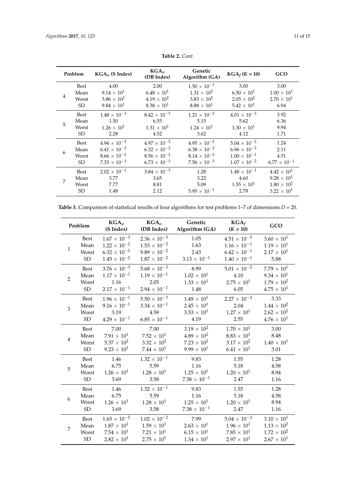<span id="page-10-0"></span>

|                | Problem | $KGAo$ (S Index)      | $KGA_0$<br>(DB Index) | Genetic<br>Algorithm (GA) | $KGA_f (K = 10)$      | GCO                   |
|----------------|---------|-----------------------|-----------------------|---------------------------|-----------------------|-----------------------|
|                | Best    | 4.00                  | 2.00                  | $1.50 \times 10^{-1}$     | 3.00                  | 3.00                  |
|                | Mean    | $9.14 \times 10^{1}$  | $6.48\times10^{1}$    | $1.31 \times 10^{2}$      | $6.50 \times 10^{1}$  | $1.00 \times 10^{1}$  |
| $\overline{4}$ | Worst   | $3.86 \times 10^{2}$  | $4.19 \times 10^{2}$  | $3.83 \times 10^2$        | $2.05 \times 10^{2}$  | $2.70 \times 10^{1}$  |
|                | SD.     | $9.84 \times 10^{1}$  | $8.38\times10^{1}$    | $8.88\times10^{1}$        | $5.42 \times 10^{1}$  | 6.94                  |
|                | Best    | $1.48 \times 10^{-3}$ | $8.42 \times 10^{-3}$ | $1.21 \times 10^{-2}$     | $4.01 \times 10^{-2}$ | 3.92                  |
| 5              | Mean    | 1.50                  | 6.55                  | 5.15                      | 5.62                  | 6.36                  |
|                | Worst   | $1.26 \times 10^{1}$  | $1.31 \times 10^{1}$  | $1.24 \times 10^{1}$      | $1.30 \times 10^{1}$  | 9.94                  |
|                | SD.     | 2.28                  | 4.52                  | 3.62                      | 4.12                  | 1.71                  |
|                | Best    | $4.94 \times 10^{-2}$ | $4.97 \times 10^{-2}$ | $4.95 \times 10^{-2}$     | $5.04 \times 10^{-2}$ | 1.24                  |
|                | Mean    | $6.41 \times 10^{-2}$ | $6.32 \times 10^{-2}$ | $6.38 \times 10^{-2}$     | $6.96 \times 10^{-2}$ | 2.11                  |
| 6              | Worst   | $8.66 \times 10^{-2}$ | $8.56\times10^{-2}$   | $8.14 \times 10^{-2}$     | $1.00 \times 10^{-1}$ | 4.51                  |
|                | SD.     | $7.33 \times 10^{-3}$ | $6.73 \times 10^{-3}$ | $7.56 \times 10^{-3}$     | $1.07 \times 10^{-2}$ | $6.77 \times 10^{-1}$ |
| 7              | Best    | $2.02 \times 10^{-1}$ | $3.84 \times 10^{-3}$ | 1.28                      | $1.48 \times 10^{-1}$ | $4.42 \times 10^{1}$  |
|                | Mean    | 3.77                  | 3.65                  | 3.22                      | 4.60                  | $9.28 \times 10^{1}$  |
|                | Worst   | 7.77                  | 8.81                  | 5.09                      | $1.55 \times 10^{1}$  | $1.80 \times 10^{2}$  |
|                | SD.     | 1.48                  | 2.12                  | $5.95 \times 10^{-1}$     | 2.78                  | $3.22 \times 10^{1}$  |

**Table 2.** *Cont.*

<span id="page-10-1"></span>

| Table 3. Comparison of statistical results of four algorithms for test problems $1-7$ of dimensions $D = 20$ . |  |
|----------------------------------------------------------------------------------------------------------------|--|
|----------------------------------------------------------------------------------------------------------------|--|

|                | Problem     | KGA <sub>o</sub><br>(S Index) | KGA <sub>o</sub><br>(DB Index) | Genetic<br>Algorithm (GA) | $KGA_f$<br>$(K = 10)$ | GCO                  |
|----------------|-------------|-------------------------------|--------------------------------|---------------------------|-----------------------|----------------------|
| $\mathbf{1}$   | <b>Best</b> | $1.67 \times 10^{-3}$         | $2.36 \times 10^{-3}$          | 1.05                      | $4.51 \times 10^{-3}$ | $3.60 \times 10^{1}$ |
|                | Mean        | $1.22 \times 10^{-2}$         | $1.53 \times 10^{-2}$          | 1.63                      | $1.16 \times 10^{-1}$ | $1.19 \times 10^{1}$ |
|                | Worst       | $6.32 \times 10^{-2}$         | $9.89 \times 10^{-2}$          | 2.43                      | $6.42 \times 10^{-1}$ | $2.17 \times 10^{1}$ |
|                | ${\rm SD}$  | $1.45 \times 10^{-2}$         | $1.87 \times 10^{-2}$          | $3.13 \times 10^{-1}$     | $1.40 \times 10^{-1}$ | 5.88                 |
| $\overline{2}$ | <b>Best</b> | $3.76\times10^{-3}$           | $5.68 \times 10^{-3}$          | 8.99                      | $5.01 \times 10^{-2}$ | $7.79 \times 10^{1}$ |
|                | Mean        | $1.17 \times 10^{-1}$         | $1.19 \times 10^{-1}$          | $1.02 \times 10^{1}$      | 4.10                  | $9.34 \times 10^{1}$ |
|                | Worst       | 1.16                          | 2.05                           | $1.33 \times 10^{1}$      | $2.75 \times 10^{1}$  | $1.79 \times 10^{2}$ |
|                | SD          | $2.17 \times 10^{-1}$         | $2.94 \times 10^{-1}$          | 1.48                      | 6.05                  | $4.75 \times 10^{1}$ |
| 3              | <b>Best</b> | $1.96 \times 10^{-1}$         | $5.50\times10^{-3}$            | $1.49 \times 10^{1}$      | $2.27 \times 10^{-2}$ | 3.33                 |
|                | Mean        | $9.16 \times 10^{-1}$         | $3.34 \times 10^{-1}$          | $2.45 \times 10^{1}$      | 2.04                  | $1.44 \times 10^{2}$ |
|                | Worst       | 3.19                          | 4.59                           | $3.53 \times 10^{1}$      | $1.27 \times 10^{1}$  | $2.62 \times 10^{2}$ |
|                | <b>SD</b>   | $4.29 \times 10^{-1}$         | $6.85\times10^{-1}$            | 4.19                      | 2.55                  | $4.76 \times 10^{1}$ |
| $\overline{4}$ | <b>Best</b> | 7.00                          | 7.00                           | $3.19 \times 10^{2}$      | $1.70 \times 10^{1}$  | 3.00                 |
|                | Mean        | $7.91 \times 10^{1}$          | $7.52 \times 10^{1}$           | $4.89 \times 10^{2}$      | $8.83 \times 10^{1}$  | 8.48                 |
|                | Worst       | $5.37 \times 10^{2}$          | $3.32 \times 10^{2}$           | $7.23 \times 10^{2}$      | $3.17 \times 10^{2}$  | $1.40 \times 10^{1}$ |
|                | ${\rm SD}$  | $9.23 \times 10^{1}$          | $7.44\times10^{1}$             | $9.99 \times 10^{1}$      | $6.41 \times 10^{1}$  | 3.01                 |
| 5              | <b>Best</b> | 1.46                          | $1.32 \times 10^{-1}$          | 9.83                      | 1.55                  | 1.28                 |
|                | Mean        | 6.75                          | 5.59                           | 1.16                      | 5.18                  | 4.58                 |
|                | Worst       | $1.26 \times 10^{1}$          | $1.28 \times 10^{1}$           | $1.25 \times 10^{1}$      | $1.20 \times 10^{1}$  | 8.94                 |
|                | ${\rm SD}$  | 3.69                          | 3.58                           | $7.38 \times 10^{-1}$     | 2.47                  | 1.16                 |
| 6              | <b>Best</b> | 1.46                          | $1.32 \times 10^{-1}$          | 9.83                      | 1.55                  | 1.28                 |
|                | Mean        | 6.75                          | 5.59                           | 1.16                      | 5.18                  | 4.58                 |
|                | Worst       | $1.26 \times 10^{1}$          | $1.28 \times 10^{1}$           | $1.25 \times 10^{1}$      | $1.20 \times 10^{1}$  | 8.94                 |
|                | <b>SD</b>   | 3.69                          | 3.58                           | $7.38 \times 10^{-1}$     | 2.47                  | 1.16                 |
| 7              | Best        | $1.65 \times 10^{-2}$         | $1.02 \times 10^{-2}$          | 7.99                      | $5.04 \times 10^{-2}$ | $3.10 \times 10^{1}$ |
|                | Mean        | $1.87 \times 10^{1}$          | $1.59 \times 10^{1}$           | $2.63 \times 10^{1}$      | $1.96 \times 10^{1}$  | $1.13 \times 10^{2}$ |
|                | Worst       | $7.54 \times 10^{1}$          | $7.21 \times 10^{1}$           | $6.15 \times 10^{1}$      | $7.85 \times 10^{1}$  | $1.72 \times 10^{2}$ |
|                | SD          | $2.82 \times 10^{1}$          | $2.75 \times 10^{1}$           | $1.34 \times 10^{1}$      | $2.97 \times 10^{1}$  | $2.67 \times 10^{1}$ |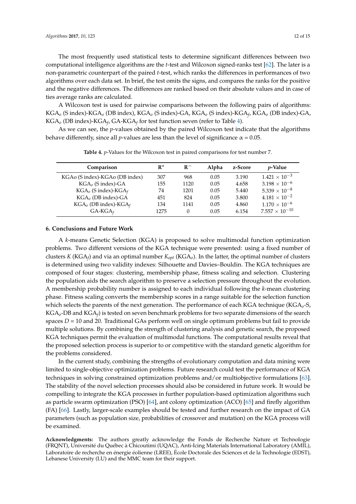The most frequently used statistical tests to determine significant differences between two computational intelligence algorithms are the *t*-test and Wilcoxon signed-ranks test [\[62\]](#page-14-8). The later is a non-parametric counterpart of the paired *t*-test, which ranks the differences in performances of two algorithms over each data set. In brief, the test omits the signs, and compares the ranks for the positive and the negative differences. The differences are ranked based on their absolute values and in case of ties average ranks are calculated.

A Wilcoxon test is used for pairwise comparisons between the following pairs of algorithms: KGA*<sup>o</sup>* (S index)-KGA*<sup>o</sup>* (DB index), KGA*<sup>o</sup>* (S index)-GA, KGA*<sup>o</sup>* (S index)-KGA*<sup>f</sup>* , KGA*o* (DB index)-GA, KGA*<sup>o</sup>* (DB index)-KGA*<sup>f</sup>* , GA-KGA*<sup>f</sup>* for test function seven (refer to Table [4\)](#page-11-1).

<span id="page-11-1"></span>As we can see, the *p*-values obtained by the paired Wilcoxon test indicate that the algorithms behave differently, since all *p*-values are less than the level of significance  $\alpha$  = 0.05.

| Comparison                      | $R^+$ | $R-$ | Alpha | z-Score | <i>p</i> -Value         |
|---------------------------------|-------|------|-------|---------|-------------------------|
| KGAo (S index)-KGAo (DB index)  | 307   | 968  | 0.05  | 3.190   | $1.421 \times 10^{-3}$  |
| $KGAo$ (S index)-GA             | 155   | 1120 | 0.05  | 4.658   | $3.198 \times 10^{-6}$  |
| $KGAo$ (S index)- $KGAf$        | 74    | 1201 | 0.05  | 5.440   | $5.339 \times 10^{-8}$  |
| $KGAo$ (DB index)-GA            | 451   | 824  | 0.05  | 3.800   | $4.181 \times 10^{-2}$  |
| $KGA_{o}$ (DB index)- $KGA_{f}$ | 134   | 1141 | 0.05  | 4.860   | $1.170 \times 10^{-6}$  |
| $GA-KGA$                        | 1275  | 0    | 0.05  | 6.154   | $7.557 \times 10^{-10}$ |

**Table 4.** *p*-Values for the Wilcoxon test in paired comparisons for test number 7.

### <span id="page-11-0"></span>**6. Conclusions and Future Work**

A *k*-means Genetic Selection (KGA) is proposed to solve multimodal function optimization problems. Two different versions of the KGA technique were presented: using a fixed number of clusters *K* (KGA*<sup>f</sup>* ) and via an optimal number *Kopt* (KGA*o*). In the latter, the optimal number of clusters is determined using two validity indexes: Silhouette and Davies–Bouldin. The KGA techniques are composed of four stages: clustering, membership phase, fitness scaling and selection. Clustering the population aids the search algorithm to preserve a selection pressure throughout the evolution. A membership probability number is assigned to each individual following the *k*-mean clustering phase. Fitness scaling converts the membership scores in a range suitable for the selection function which selects the parents of the next generation. The performance of each KGA technique (KGA*o*-S, KGA*o*-DB and KGA*<sup>f</sup>* ) is tested on seven benchmark problems for two separate dimensions of the search spaces  $D = 10$  and 20. Traditional GAs perform well on single optimum problems but fail to provide multiple solutions. By combining the strength of clustering analysis and genetic search, the proposed KGA techniques permit the evaluation of multimodal functions. The computational results reveal that the proposed selection process is superior to or competitive with the standard genetic algorithm for the problems considered.

In the current study, combining the strengths of evolutionary computation and data mining were limited to single-objective optimization problems. Future research could test the performance of KGA techniques in solving constrained optimization problems and/or multiobjective formulations [\[63\]](#page-14-9). The stability of the novel selection processes should also be considered in future work. It would be compelling to integrate the KGA processes in further population-based optimization algorithms such as particle swarm optimization (PSO) [\[64\]](#page-14-10), ant colony optimization (ACO) [\[65\]](#page-14-11) and firefly algorithm (FA) [\[66\]](#page-14-12). Lastly, larger-scale examples should be tested and further research on the impact of GA parameters (such as population size, probabilities of crossover and mutation) on the KGA process will be examined.

**Acknowledgments:** The authors greatly acknowledge the Fonds de Recherche Nature et Technologie (FRQNT), Université du Québec à Chicoutimi (UQAC), Anti-Icing Materials International Laboratory (AMIL), Laboratoire de recherche en énergie éolienne (LREE), École Doctorale des Sciences et de la Technologie (EDST), Lebanese University (LU) and the MMC team for their support.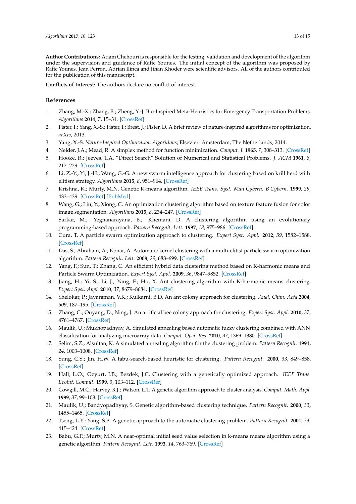**Author Contributions:** Adam Chehouri is responsible for the testing, validation and development of the algorithm under the supervision and guidance of Rafic Younes. The initial concept of the algorithm was proposed by Rafic Younes. Jean Perron, Adrian Ilinca and Jihan Khoder were scientific advisors. All of the authors contributed for the publication of this manuscript.

**Conflicts of Interest:** The authors declare no conflict of interest.

### **References**

- <span id="page-12-0"></span>1. Zhang, M.-X.; Zhang, B.; Zheng, Y.-J. Bio-Inspired Meta-Heuristics for Emergency Transportation Problems. *Algorithms* **2014**, *7*, 15–31. [\[CrossRef\]](http://dx.doi.org/10.3390/a7010015)
- <span id="page-12-1"></span>2. Fister, I.; Yang, X.-S.; Fister, I.; Brest, J.; Fister, D. A brief review of nature-inspired algorithms for optimization. *arXiv*, 2013.
- <span id="page-12-2"></span>3. Yang, X.-S. *Nature-Inspired Optimization Algorithms*; Elsevier: Amsterdam, The Netherlands, 2014.
- <span id="page-12-3"></span>4. Nelder, J.A.; Mead, R. A simplex method for function minimization. *Comput. J.* **1965**, *7*, 308–313. [\[CrossRef\]](http://dx.doi.org/10.1093/comjnl/7.4.308)
- <span id="page-12-4"></span>5. Hooke, R.; Jeeves, T.A. "Direct Search" Solution of Numerical and Statistical Problems. *J. ACM* **1961**, *8*, 212–229. [\[CrossRef\]](http://dx.doi.org/10.1145/321062.321069)
- <span id="page-12-5"></span>6. Li, Z.-Y.; Yi, J.-H.; Wang, G.-G. A new swarm intelligence approach for clustering based on krill herd with elitism strategy. *Algorithms* **2015**, *8*, 951–964. [\[CrossRef\]](http://dx.doi.org/10.3390/a8040951)
- <span id="page-12-6"></span>7. Krishna, K.; Murty, M.N. Genetic K-means algorithm. *IEEE Trans. Syst. Man Cybern. B Cybern.* **1999**, *29*, 433–439. [\[CrossRef\]](http://dx.doi.org/10.1109/3477.764879) [\[PubMed\]](http://www.ncbi.nlm.nih.gov/pubmed/18252317)
- <span id="page-12-7"></span>8. Wang, G.; Liu, Y.; Xiong, C. An optimization clustering algorithm based on texture feature fusion for color image segmentation. *Algorithms* **2015**, *8*, 234–247. [\[CrossRef\]](http://dx.doi.org/10.3390/a8020234)
- <span id="page-12-8"></span>9. Sarkar, M.; Yegnanarayana, B.; Khemani, D. A clustering algorithm using an evolutionary programming-based approach. *Pattern Recognit. Lett.* **1997**, *18*, 975–986. [\[CrossRef\]](http://dx.doi.org/10.1016/S0167-8655(97)00122-0)
- <span id="page-12-9"></span>10. Cura, T. A particle swarm optimization approach to clustering. *Expert Syst. Appl.* **2012**, *39*, 1582–1588. [\[CrossRef\]](http://dx.doi.org/10.1016/j.eswa.2011.07.123)
- 11. Das, S.; Abraham, A.; Konar, A. Automatic kernel clustering with a multi-elitist particle swarm optimization algorithm. *Pattern Recognit. Lett.* **2008**, *29*, 688–699. [\[CrossRef\]](http://dx.doi.org/10.1016/j.patrec.2007.12.002)
- <span id="page-12-10"></span>12. Yang, F.; Sun, T.; Zhang, C. An efficient hybrid data clustering method based on K-harmonic means and Particle Swarm Optimization. *Expert Syst. Appl.* **2009**, *36*, 9847–9852. [\[CrossRef\]](http://dx.doi.org/10.1016/j.eswa.2009.02.003)
- <span id="page-12-11"></span>13. Jiang, H.; Yi, S.; Li, J.; Yang, F.; Hu, X. Ant clustering algorithm with K-harmonic means clustering. *Expert Syst. Appl.* **2010**, *37*, 8679–8684. [\[CrossRef\]](http://dx.doi.org/10.1016/j.eswa.2010.06.061)
- <span id="page-12-12"></span>14. Shelokar, P.; Jayaraman, V.K.; Kulkarni, B.D. An ant colony approach for clustering. *Anal. Chim. Acta* **2004**, *509*, 187–195. [\[CrossRef\]](http://dx.doi.org/10.1016/j.aca.2003.12.032)
- <span id="page-12-13"></span>15. Zhang, C.; Ouyang, D.; Ning, J. An artificial bee colony approach for clustering. *Expert Syst. Appl.* **2010**, *37*, 4761–4767. [\[CrossRef\]](http://dx.doi.org/10.1016/j.eswa.2009.11.003)
- <span id="page-12-14"></span>16. Maulik, U.; Mukhopadhyay, A. Simulated annealing based automatic fuzzy clustering combined with ANN classification for analyzing microarray data. *Comput. Oper. Res.* **2010**, *37*, 1369–1380. [\[CrossRef\]](http://dx.doi.org/10.1016/j.cor.2009.02.025)
- <span id="page-12-15"></span>17. Selim, S.Z.; Alsultan, K. A simulated annealing algorithm for the clustering problem. *Pattern Recognit.* **1991**, *24*, 1003–1008. [\[CrossRef\]](http://dx.doi.org/10.1016/0031-3203(91)90097-O)
- <span id="page-12-16"></span>18. Sung, C.S.; Jin, H.W. A tabu-search-based heuristic for clustering. *Pattern Recognit.* **2000**, *33*, 849–858. [\[CrossRef\]](http://dx.doi.org/10.1016/S0031-3203(99)00090-4)
- <span id="page-12-17"></span>19. Hall, L.O.; Ozyurt, I.B.; Bezdek, J.C. Clustering with a genetically optimized approach. *IEEE Trans. Evolut. Comput.* **1999**, *3*, 103–112. [\[CrossRef\]](http://dx.doi.org/10.1109/4235.771164)
- 20. Cowgill, M.C.; Harvey, R.J.; Watson, L.T. A genetic algorithm approach to cluster analysis. *Comput. Math. Appl.* **1999**, *37*, 99–108. [\[CrossRef\]](http://dx.doi.org/10.1016/S0898-1221(99)00090-5)
- <span id="page-12-18"></span>21. Maulik, U.; Bandyopadhyay, S. Genetic algorithm-based clustering technique. *Pattern Recognit.* **2000**, *33*, 1455–1465. [\[CrossRef\]](http://dx.doi.org/10.1016/S0031-3203(99)00137-5)
- 22. Tseng, L.Y.; Yang, S.B. A genetic approach to the automatic clustering problem. *Pattern Recognit.* **2001**, *34*, 415–424. [\[CrossRef\]](http://dx.doi.org/10.1016/S0031-3203(00)00005-4)
- 23. Babu, G.P.; Murty, M.N. A near-optimal initial seed value selection in k-means means algorithm using a genetic algorithm. *Pattern Recognit. Lett.* **1993**, *14*, 763–769. [\[CrossRef\]](http://dx.doi.org/10.1016/0167-8655(93)90058-L)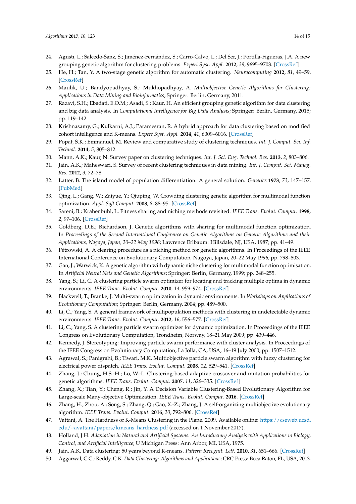- 24. Agustı, L.; Salcedo-Sanz, S.; Jiménez-Fernández, S.; Carro-Calvo, L.; Del Ser, J.; Portilla-Figueras, J.A. A new grouping genetic algorithm for clustering problems. *Expert Syst. Appl.* **2012**, *39*, 9695–9703. [\[CrossRef\]](http://dx.doi.org/10.1016/j.eswa.2012.02.149)
- 25. He, H.; Tan, Y. A two-stage genetic algorithm for automatic clustering. *Neurocomputing* **2012**, *81*, 49–59. [\[CrossRef\]](http://dx.doi.org/10.1016/j.neucom.2011.11.001)
- 26. Maulik, U.; Bandyopadhyay, S.; Mukhopadhyay, A. *Multiobjective Genetic Algorithms for Clustering: Applications in Data Mining and Bioinformatics*; Springer: Berlin, Germany, 2011.
- <span id="page-13-0"></span>27. Razavi, S.H.; Ebadati, E.O.M.; Asadi, S.; Kaur, H. An efficient grouping genetic algorithm for data clustering and big data analysis. In *Computational Intelligence for Big Data Analysis*; Springer: Berlin, Germany, 2015; pp. 119–142.
- <span id="page-13-1"></span>28. Krishnasamy, G.; Kulkarni, A.J.; Paramesran, R. A hybrid approach for data clustering based on modified cohort intelligence and K-means. *Expert Syst. Appl.* **2014**, *41*, 6009–6016. [\[CrossRef\]](http://dx.doi.org/10.1016/j.eswa.2014.03.021)
- <span id="page-13-2"></span>29. Popat, S.K.; Emmanuel, M. Review and comparative study of clustering techniques. *Int. J. Comput. Sci. Inf. Technol.* **2014**, *5*, 805–812.
- 30. Mann, A.K.; Kaur, N. Survey paper on clustering techniques. *Int. J. Sci. Eng. Technol. Res.* **2013**, *2*, 803–806.
- <span id="page-13-3"></span>31. Jain, A.K.; Maheswari, S. Survey of recent clustering techniques in data mining. *Int. J. Comput. Sci. Manag. Res.* **2012**, *3*, 72–78.
- <span id="page-13-4"></span>32. Latter, B. The island model of population differentiation: A general solution. *Genetics* **1973**, *73*, 147–157. [\[PubMed\]](http://www.ncbi.nlm.nih.gov/pubmed/4687659)
- <span id="page-13-5"></span>33. Qing, L.; Gang, W.; Zaiyue, Y.; Qiuping, W. Crowding clustering genetic algorithm for multimodal function optimization. *Appl. Soft Comput.* **2008**, *8*, 88–95. [\[CrossRef\]](http://dx.doi.org/10.1016/j.asoc.2006.10.014)
- <span id="page-13-6"></span>34. Sareni, B.; Krahenbuhl, L. Fitness sharing and niching methods revisited. *IEEE Trans. Evolut. Comput.* **1998**, *2*, 97–106. [\[CrossRef\]](http://dx.doi.org/10.1109/4235.735432)
- <span id="page-13-7"></span>35. Goldberg, D.E.; Richardson, J. Genetic algorithms with sharing for multimodal function optimization. In *Proceedings of the Second International Conference on Genetic Algorithms on Genetic Algorithms and their Applications, Nagoya, Japan, 20–22 May 1996*; Lawrence Erlbaum: Hillsdale, NJ, USA, 1987; pp. 41–49.
- <span id="page-13-8"></span>36. Pétrowski, A. A clearing procedure as a niching method for genetic algorithms. In Proceedings of the IEEE International Conference on Evolutionary Computation, Nagoya, Japan, 20–22 May 1996; pp. 798–803.
- <span id="page-13-9"></span>37. Gan, J.; Warwick, K. A genetic algorithm with dynamic niche clustering for multimodal function optimisation. In *Artificial Neural Nets and Genetic Algorithms*; Springer: Berlin, Germany, 1999; pp. 248–255.
- <span id="page-13-10"></span>38. Yang, S.; Li, C. A clustering particle swarm optimizer for locating and tracking multiple optima in dynamic environments. *IEEE Trans. Evolut. Comput.* **2010**, *14*, 959–974. [\[CrossRef\]](http://dx.doi.org/10.1109/TEVC.2010.2046667)
- 39. Blackwell, T.; Branke, J. Multi-swarm optimization in dynamic environments. In *Workshops on Applications of Evolutionary Computation*; Springer: Berlin, Germany, 2004; pp. 489–500.
- <span id="page-13-11"></span>40. Li, C.; Yang, S. A general framework of multipopulation methods with clustering in undetectable dynamic environments. *IEEE Trans. Evolut. Comput.* **2012**, *16*, 556–577. [\[CrossRef\]](http://dx.doi.org/10.1109/TEVC.2011.2169966)
- <span id="page-13-12"></span>41. Li, C.; Yang, S. A clustering particle swarm optimizer for dynamic optimization. In Proceedings of the IEEE Congress on Evolutionary Computation, Trondheim, Norway, 18–21 May 2009; pp. 439–446.
- <span id="page-13-13"></span>42. Kennedy, J. Stereotyping: Improving particle swarm performance with cluster analysis. In Proceedings of the IEEE Congress on Evolutionary Computation, La Jolla, CA, USA, 16–19 July 2000; pp. 1507–1512.
- <span id="page-13-14"></span>43. Agrawal, S.; Panigrahi, B.; Tiwari, M.K. Multiobjective particle swarm algorithm with fuzzy clustering for electrical power dispatch. *IEEE Trans. Evolut. Comput.* **2008**, *12*, 529–541. [\[CrossRef\]](http://dx.doi.org/10.1109/TEVC.2007.913121)
- <span id="page-13-15"></span>44. Zhang, J.; Chung, H.S.-H.; Lo, W.-L. Clustering-based adaptive crossover and mutation probabilities for genetic algorithms. *IEEE Trans. Evolut. Comput.* **2007**, *11*, 326–335. [\[CrossRef\]](http://dx.doi.org/10.1109/TEVC.2006.880727)
- <span id="page-13-16"></span>45. Zhang, X.; Tian, Y.; Cheng, R.; Jin, Y. A Decision Variable Clustering-Based Evolutionary Algorithm for Large-scale Many-objective Optimization. *IEEE Trans. Evolut. Comput.* **2016**. [\[CrossRef\]](http://dx.doi.org/10.1109/TEVC.2016.2600642)
- <span id="page-13-17"></span>46. Zhang, H.; Zhou, A.; Song, S.; Zhang, Q.; Gao, X.-Z.; Zhang, J. A self-organizing multiobjective evolutionary algorithm. *IEEE Trans. Evolut. Comput.* **2016**, *20*, 792–806. [\[CrossRef\]](http://dx.doi.org/10.1109/TEVC.2016.2521868)
- <span id="page-13-18"></span>47. Vattani, A. The Hardness of K-Means Clustering in the Plane. 2009. Available online: [https://cseweb.ucsd.](https://cseweb.ucsd.edu/~avattani/papers/kmeans_hardness.pdf) [edu/~avattani/papers/kmeans\\_hardness.pdf](https://cseweb.ucsd.edu/~avattani/papers/kmeans_hardness.pdf) (accessed on 1 November 2017).
- <span id="page-13-19"></span>48. Holland, J.H. *Adaptation in Natural and Artificial Systems: An Introductory Analysis with Applications to Biology, Control, and Artificial Intelligence*; U Michigan Press: Ann Arbor, MI, USA, 1975.
- <span id="page-13-20"></span>49. Jain, A.K. Data clustering: 50 years beyond K-means. *Pattern Recognit. Lett.* **2010**, *31*, 651–666. [\[CrossRef\]](http://dx.doi.org/10.1016/j.patrec.2009.09.011)
- 50. Aggarwal, C.C.; Reddy, C.K. *Data Clustering: Algorithms and Applications*; CRC Press: Boca Raton, FL, USA, 2013.